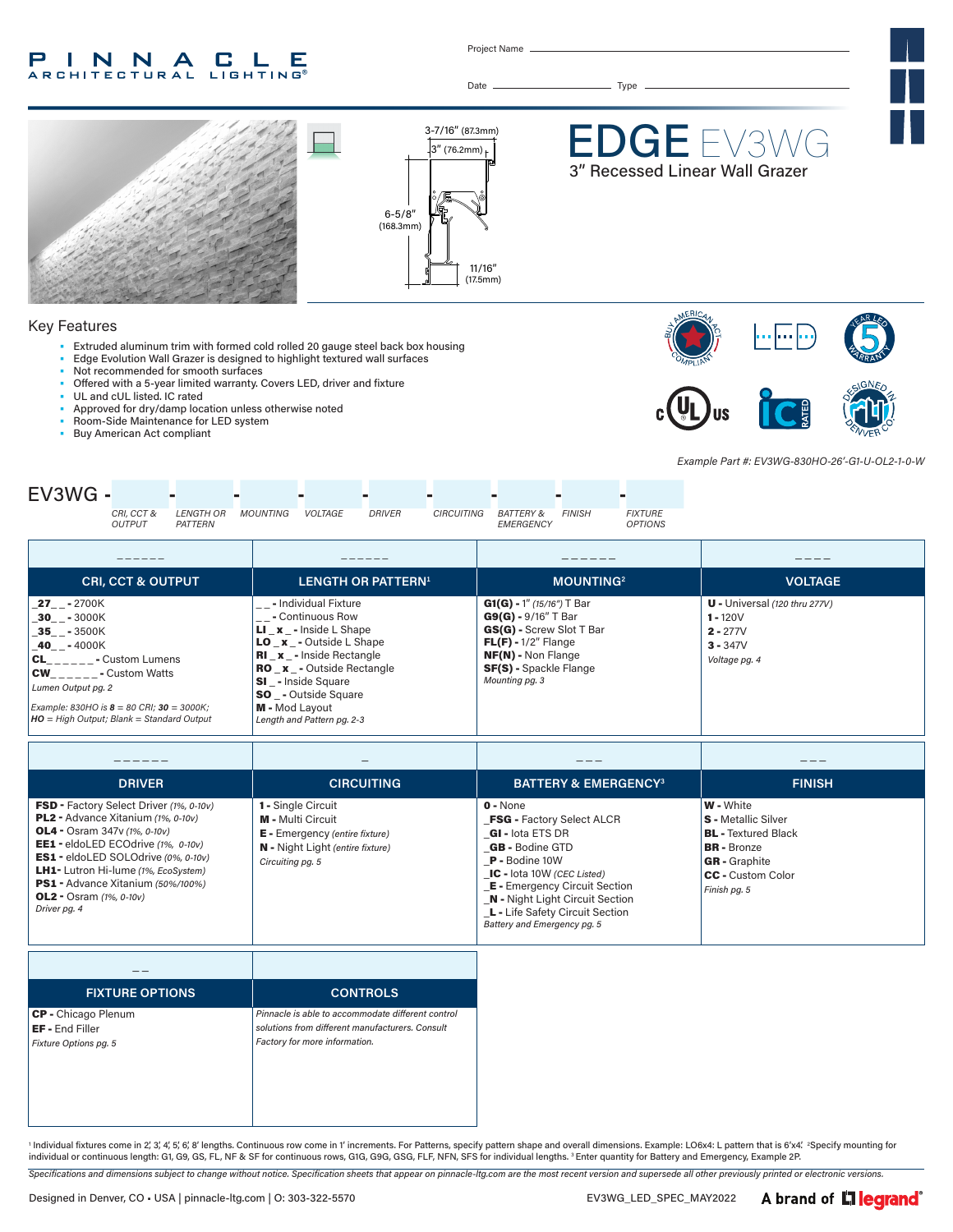#### INNA P.  $\blacksquare$ LE **ARCHITECTURAL LIGHTING®**

Project Name

Date Type



#### Key Features

- Extruded aluminum trim with formed cold rolled 20 gauge steel back box housing
- Edge Evolution Wall Grazer is designed to highlight textured wall surfaces
- Not recommended for smooth surfaces
- Offered with a 5-year limited warranty. Covers LED, driver and fixture
- UL and cUL listed. IC rated
- Approved for dry/damp location unless otherwise noted
- Room-Side Maintenance for LED system<br>• Buy American Act compliant
- Buy American Act compliant



*Example Part #: EV3WG-830HO-26'-G1-U-OL2-1-0-W*



| <b>CRI, CCT &amp; OUTPUT</b>                                                                                                                                                                                                                   | <b>LENGTH OR PATTERN<sup>1</sup></b>                                                                                                                                                                                                                                                             | <b>MOUNTING2</b>                                                                                                                                                                             | <b>VOLTAGE</b>                                                                             |
|------------------------------------------------------------------------------------------------------------------------------------------------------------------------------------------------------------------------------------------------|--------------------------------------------------------------------------------------------------------------------------------------------------------------------------------------------------------------------------------------------------------------------------------------------------|----------------------------------------------------------------------------------------------------------------------------------------------------------------------------------------------|--------------------------------------------------------------------------------------------|
| <b>27</b> - 2700K<br>30 - 3000K<br>35 - 3500K<br>40 - 4000K<br><b>CL</b> - Custom Lumens<br><b>CW</b><br>- Custom Watts<br>Lumen Output pg. 2<br>Example: 830HO is $8 = 80$ CRI; $30 = 3000$ K;<br>$HO = High Output; Blank = Standard Output$ | '__- Individual Fixture<br>- Continuous Row<br><b>LI</b> $x -$ Inside L Shape<br><b>LO</b> $x -$ Outside L Shape<br><b>RI</b> x - Inside Rectangle<br><b>RO</b> x - Outside Rectangle<br><b>SI</b> - Inside Square<br><b>SO</b> - Outside Square<br>M - Mod Layout<br>Length and Pattern pg. 2-3 | $G1(G) - 1''$ (15/16") T Bar<br>$G9(G) - 9/16''$ T Bar<br>GS(G) - Screw Slot T Bar<br>$FL(F) - 1/2''$ Flange<br><b>NF(N)</b> - Non Flange<br><b>SF(S)</b> - Spackle Flange<br>Mounting pg. 3 | $U$ - Universal (120 thru 277V)<br>$1 - 120V$<br>$2 - 277V$<br>$3 - 347V$<br>Voltage pg. 4 |

| <b>DRIVER</b>                                                                                                                                                                                                                                                                                                                                | <b>CIRCUITING</b>                                                                                                                                        | <b>BATTERY &amp; EMERGENCY3</b>                                                                                                                                                                                                                                                                    | <b>FINISH</b>                                                                                                                                                          |
|----------------------------------------------------------------------------------------------------------------------------------------------------------------------------------------------------------------------------------------------------------------------------------------------------------------------------------------------|----------------------------------------------------------------------------------------------------------------------------------------------------------|----------------------------------------------------------------------------------------------------------------------------------------------------------------------------------------------------------------------------------------------------------------------------------------------------|------------------------------------------------------------------------------------------------------------------------------------------------------------------------|
| FSD - Factory Select Driver (1%, 0-10v)<br>PL2 - Advance Xitanium (1%, 0-10v)<br><b>OL4</b> - Osram 347v (1%, 0-10v)<br>EE1 - eldoLED ECOdrive (1%, 0-10v)<br>ES1 - eldoLED SOLOdrive (0%, 0-10v)<br><b>LH1-</b> Lutron Hi-lume (1%, EcoSystem)<br>PS1 - Advance Xitanium (50%/100%)<br><b>OL2</b> - Osram $(1\%$ , $0-10v)$<br>Driver pg. 4 | <b>1 - Single Circuit</b><br><b>M</b> - Multi Circuit<br>$E$ - Emergency (entire fixture)<br><b>N</b> - Night Light (entire fixture)<br>Circuiting pg. 5 | $0 - None$<br><b>FSG - Factory Select ALCR</b><br>GI - lota ETS DR<br><b>GB</b> - Bodine GTD<br>$P -$ Bodine 10W<br>IC - lota 10W (CEC Listed)<br><b>E</b> - Emergency Circuit Section<br><b>N</b> - Night Light Circuit Section<br>L - Life Safety Circuit Section<br>Battery and Emergency pg. 5 | <b>W</b> - White<br><b>S</b> - Metallic Silver<br><b>BL</b> - Textured Black<br><b>BR</b> - Bronze<br><b>GR</b> - Graphite<br><b>CC</b> - Custom Color<br>Finish pg. 5 |

| <b>FIXTURE OPTIONS</b>                                                 | <b>CONTROLS</b>                                                                                                                       |
|------------------------------------------------------------------------|---------------------------------------------------------------------------------------------------------------------------------------|
| CP - Chicago Plenum<br><b>EF</b> - End Filler<br>Fixture Options pg. 5 | Pinnacle is able to accommodate different control<br>solutions from different manufacturers, Consult<br>Factory for more information. |

' Individual fixtures come in 2, 3, 4, 5, 6, 8' lengths. Continuous row come in 1' increments. For Patterns, specify pattern shape and overall dimensions. Example: LO6x4: L pattern that is 6′x4′. "Specify mounting for<br>indi

*Specifications and dimensions subject to change without notice. Specification sheets that appear on pinnacle-ltg.com are the most recent version and supersede all other previously printed or electronic versions.*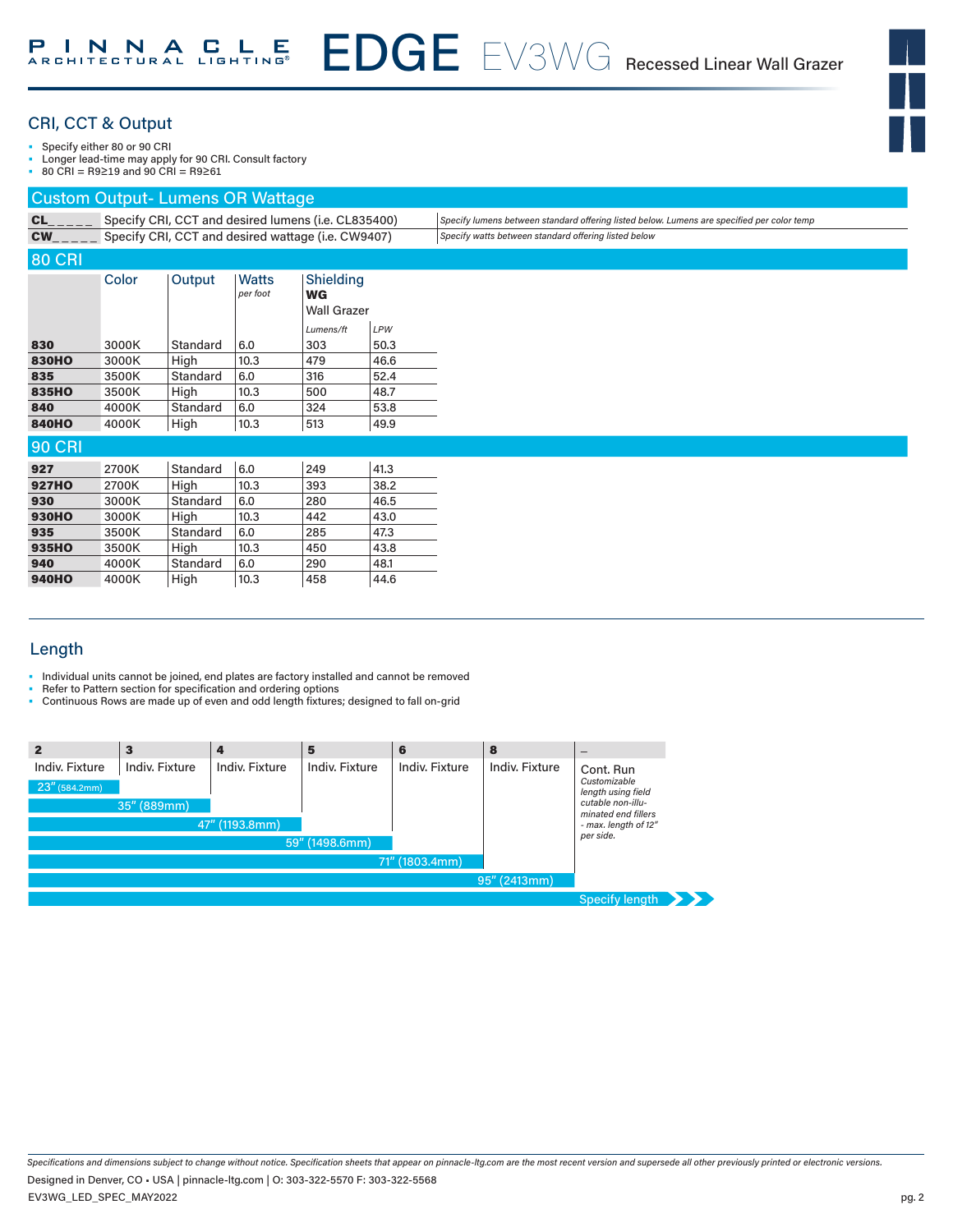## CRI, CCT & Output

Specify either 80 or 90 CRI

• Longer lead-time may apply for 90 CRI. Consult factory

• 80 CRI = R9≥19 and 90 CRI = R9≥61

#### Custom Output- Lumens OR Wattage

| <b>CL</b>     | Specify CRI, CCT and desired lumens (i.e. CL835400) |          |                                                    |                                       |             | Specify lumens between standard offering listed below. Lumens are specified per color temp |
|---------------|-----------------------------------------------------|----------|----------------------------------------------------|---------------------------------------|-------------|--------------------------------------------------------------------------------------------|
| $CW_{---}$    |                                                     |          | Specify CRI, CCT and desired wattage (i.e. CW9407) |                                       |             | Specify watts between standard offering listed below                                       |
| <b>80 CRI</b> |                                                     |          |                                                    |                                       |             |                                                                                            |
|               | Color                                               | Output   | Watts<br>per foot                                  | Shielding<br>WG<br><b>Wall Grazer</b> |             |                                                                                            |
| 830           | 3000K                                               | Standard | 6.0                                                | Lumens/ft<br>303                      | LPW<br>50.3 |                                                                                            |
| <b>830HO</b>  | 3000K                                               | High     | 10.3                                               | 479                                   | 46.6        |                                                                                            |
| 835           | 3500K                                               | Standard | 6.0                                                | 316                                   | 52.4        |                                                                                            |
| 835HO         | 3500K                                               | High     | 10.3                                               | 500                                   | 48.7        |                                                                                            |
| 840           | 4000K                                               | Standard | 6.0                                                | 324                                   | 53.8        |                                                                                            |
| 840HO         | 4000K                                               | High     | 10.3                                               | 513                                   | 49.9        |                                                                                            |
| <b>90 CRI</b> |                                                     |          |                                                    |                                       |             |                                                                                            |
| 927           | 2700K                                               | Standard | 6.0                                                | 249                                   | 41.3        |                                                                                            |
| <b>927HO</b>  | 2700K                                               | High     | 10.3                                               | 393                                   | 38.2        |                                                                                            |
| 930           | 3000K                                               | Standard | 6.0                                                | 280                                   | 46.5        |                                                                                            |
| 930HO         | 3000K                                               | High     | 10.3                                               | 442                                   | 43.0        |                                                                                            |
| 935           | 3500K                                               | Standard | 6.0                                                | 285                                   | 47.3        |                                                                                            |
| 935HO         | 3500K                                               | High     | 10.3                                               | 450                                   | 43.8        |                                                                                            |
| 940           | 4000K                                               | Standard | 6.0                                                | 290                                   | 48.1        |                                                                                            |
| 940HO         | 4000K                                               | High     | 10.3                                               | 458                                   | 44.6        |                                                                                            |

## Length

- Individual units cannot be joined, end plates are factory installed and cannot be removed
- Refer to Pattern section for specification and ordering options
- Continuous Rows are made up of even and odd length fixtures; designed to fall on-grid

|                                    | з                                    | $\boldsymbol{4}$                 | 5              | 6              | 8              |                                                                                                                                  |
|------------------------------------|--------------------------------------|----------------------------------|----------------|----------------|----------------|----------------------------------------------------------------------------------------------------------------------------------|
| Indiv. Fixture<br>$23''$ (584.2mm) | <b>Indiv. Fixture</b><br>35" (889mm) | Indiv. Fixture<br>47" (1193.8mm) | Indiv. Fixture | Indiv. Fixture | Indiv. Fixture | Cont. Run<br>Customizable<br>length using field<br>cutable non-illu-<br>minated end fillers<br>- max. length of 12"<br>per side. |
|                                    |                                      |                                  | 59" (1498.6mm) |                |                |                                                                                                                                  |
|                                    |                                      |                                  |                | 71" (1803.4mm) |                |                                                                                                                                  |
|                                    |                                      |                                  |                |                | 95" (2413mm)   |                                                                                                                                  |
|                                    |                                      |                                  |                |                |                | Specify length $\rightarrow$                                                                                                     |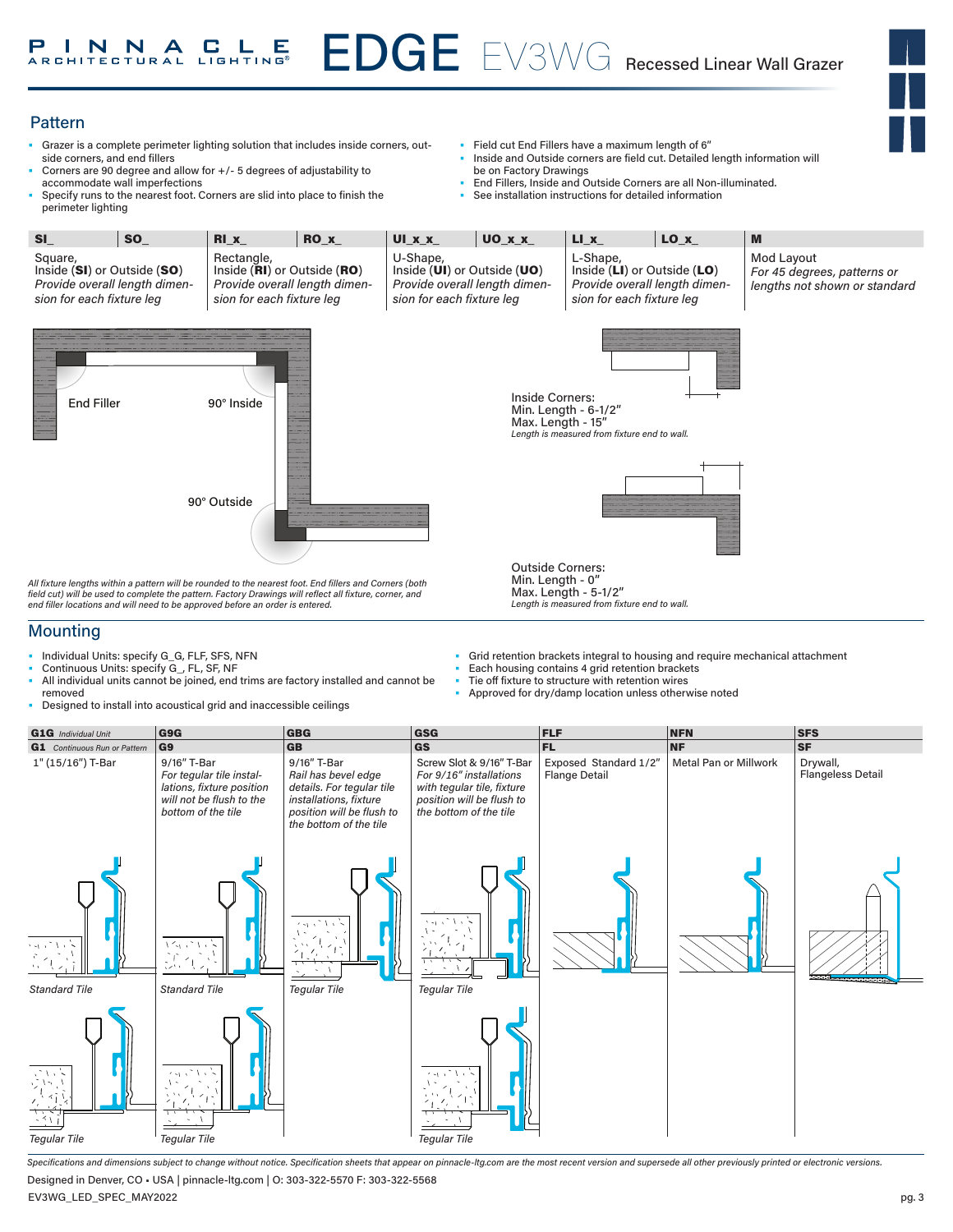#### Pattern

- Grazer is a complete perimeter lighting solution that includes inside corners, outside corners, and end fillers
- Corners are 90 degree and allow for +/- 5 degrees of adjustability to accommodate wall imperfections
- Specify runs to the nearest foot. Corners are slid into place to finish the perimeter lighting
- Field cut End Fillers have a maximum length of 6"
- Inside and Outside corners are field cut. Detailed length information will be on Factory Drawings
- End Fillers, Inside and Outside Corners are all Non-illuminated.
- See installation instructions for detailed information

| SI                                                                                                   | <b>SO</b>                                                                                               | $RI_x$                                                                                                  | RO <sub>x</sub> | UI_x_x_                                                                                               | UO X X                                                          | $LI_x$                                                               | $LO_x$                        | M                                                                          |
|------------------------------------------------------------------------------------------------------|---------------------------------------------------------------------------------------------------------|---------------------------------------------------------------------------------------------------------|-----------------|-------------------------------------------------------------------------------------------------------|-----------------------------------------------------------------|----------------------------------------------------------------------|-------------------------------|----------------------------------------------------------------------------|
| Square,<br>Inside (SI) or Outside (SO)<br>Provide overall length dimen-<br>sion for each fixture leg |                                                                                                         | Rectangle,<br>Inside (RI) or Outside (RO)<br>Provide overall length dimen-<br>sion for each fixture leg |                 | U-Shape,<br>Inside (UI) or Outside (UO)<br>Provide overall length dimen-<br>sion for each fixture leg |                                                                 | L-Shape,<br>Inside (LI) or Outside (LO)<br>sion for each fixture leg | Provide overall length dimen- | Mod Layout<br>For 45 degrees, patterns or<br>lengths not shown or standard |
| <b>End Filler</b>                                                                                    |                                                                                                         | 90° Inside<br>90° Outside                                                                               |                 |                                                                                                       | Inside Corners:<br>Max. Length - 15"<br><b>Outside Corners:</b> | Min. Length - 6-1/2"<br>Length is measured from fixture end to wall. | ata a                         |                                                                            |
|                                                                                                      | All fixture lengths within a pattern will be rounded to the nearest foot. End fillers and Corners (both |                                                                                                         |                 |                                                                                                       | Min. Length - 0"                                                |                                                                      |                               |                                                                            |

*All fixture lengths within a pattern will be rounded to the nearest foot. End fillers and Corners (both field cut) will be used to complete the pattern. Factory Drawings will reflect all fixture, corner, and end filler locations and will need to be approved before an order is entered.*

#### **Mounting**

- Individual Units: specify G\_G, FLF, SFS, NFN
- Continuous Units: specify G\_, FL, SF, NF
- All individual units cannot be joined, end trims are factory installed and cannot be removed • Designed to install into acoustical grid and inaccessible ceilings
- Grid retention brackets integral to housing and require mechanical attachment
- Each housing contains 4 grid retention brackets

Max. Length - 5-1/2"

- Tie off fixture to structure with retention wires
- Approved for dry/damp location unless otherwise noted

*Length is measured from fixture end to wall.* 



*Specifications and dimensions subject to change without notice. Specification sheets that appear on pinnacle-ltg.com are the most recent version and supersede all other previously printed or electronic versions.* Designed in Denver, CO • USA | pinnacle-ltg.com | O: 303-322-5570 F: 303-322-5568

EV3WG\_LED\_SPEC\_MAY2022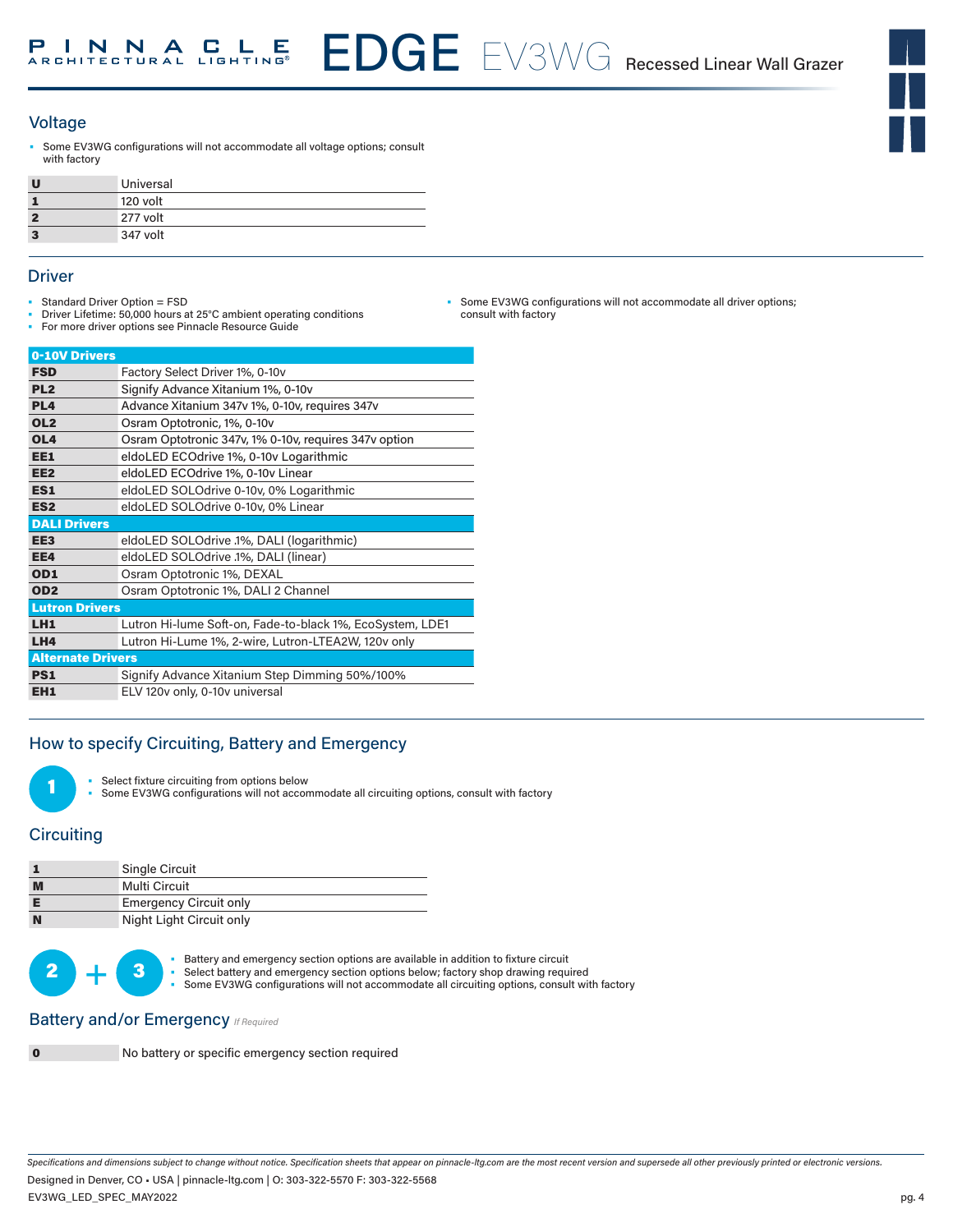

#### Voltage

Some EV3WG configurations will not accommodate all voltage options; consult with factory

| Universal |
|-----------|
| 120 volt  |
| 277 volt  |
| 347 volt  |

#### **Driver**

- Standard Driver Option = FSD
- Driver Lifetime: 50,000 hours at 25°C ambient operating conditions
- For more driver options see Pinnacle Resource Guide

| 0-10V Drivers            |                                                           |
|--------------------------|-----------------------------------------------------------|
| <b>FSD</b>               | Factory Select Driver 1%, 0-10v                           |
| PL <sub>2</sub>          | Signify Advance Xitanium 1%, 0-10v                        |
| PL <sub>4</sub>          | Advance Xitanium 347v 1%, 0-10v, requires 347v            |
| OL <sub>2</sub>          | Osram Optotronic, 1%, 0-10y                               |
| OL <sub>4</sub>          | Osram Optotronic 347v, 1% 0-10v, requires 347v option     |
| EE1                      | eldoLED ECOdrive 1%, 0-10y Logarithmic                    |
| EE <sub>2</sub>          | eldoLED ECOdrive 1%, 0-10v Linear                         |
| ES1                      | eldoLED SOLOdrive 0-10v, 0% Logarithmic                   |
| ES <sub>2</sub>          | eldoLED SOLOdrive 0-10v, 0% Linear                        |
| <b>DALI Drivers</b>      |                                                           |
| EE <sub>3</sub>          | eldoLED SOLOdrive .1%, DALI (logarithmic)                 |
| EE4                      | eldoLED SOLOdrive .1%, DALI (linear)                      |
| OD1                      | Osram Optotronic 1%, DEXAL                                |
| OD <sub>2</sub>          | Osram Optotronic 1%, DALI 2 Channel                       |
| <b>Lutron Drivers</b>    |                                                           |
| LH <sub>1</sub>          | Lutron Hi-lume Soft-on, Fade-to-black 1%, EcoSystem, LDE1 |
| LHA                      | Lutron Hi-Lume 1%, 2-wire, Lutron-LTEA2W, 120v only       |
| <b>Alternate Drivers</b> |                                                           |
| PS1                      | Signify Advance Xitanium Step Dimming 50%/100%            |
| EH <sub>1</sub>          | ELV 120v only, 0-10v universal                            |

## How to specify Circuiting, Battery and Emergency



Select fixture circuiting from options below

Some EV3WG configurations will not accommodate all circuiting options, consult with factory

#### **Circuiting**

|          | Single Circuit                |  |  |
|----------|-------------------------------|--|--|
| M        | Multi Circuit                 |  |  |
|          | <b>Emergency Circuit only</b> |  |  |
| <b>N</b> | Night Light Circuit only      |  |  |

• Battery and emergency section options are available in addition to fixture circuit<br>• Select battery and emergency section options below; factory shop drawing required Some EV3WG configurations will not accommodate all circuiting options, consult with factory

#### **Battery and/or Emergency** *If Required*



0 No battery or specific emergency section required

*Specifications and dimensions subject to change without notice. Specification sheets that appear on pinnacle-ltg.com are the most recent version and supersede all other previously printed or electronic versions.* Designed in Denver, CO • USA | pinnacle-ltg.com | O: 303-322-5570 F: 303-322-5568

• Some EV3WG configurations will not accommodate all driver options; consult with factory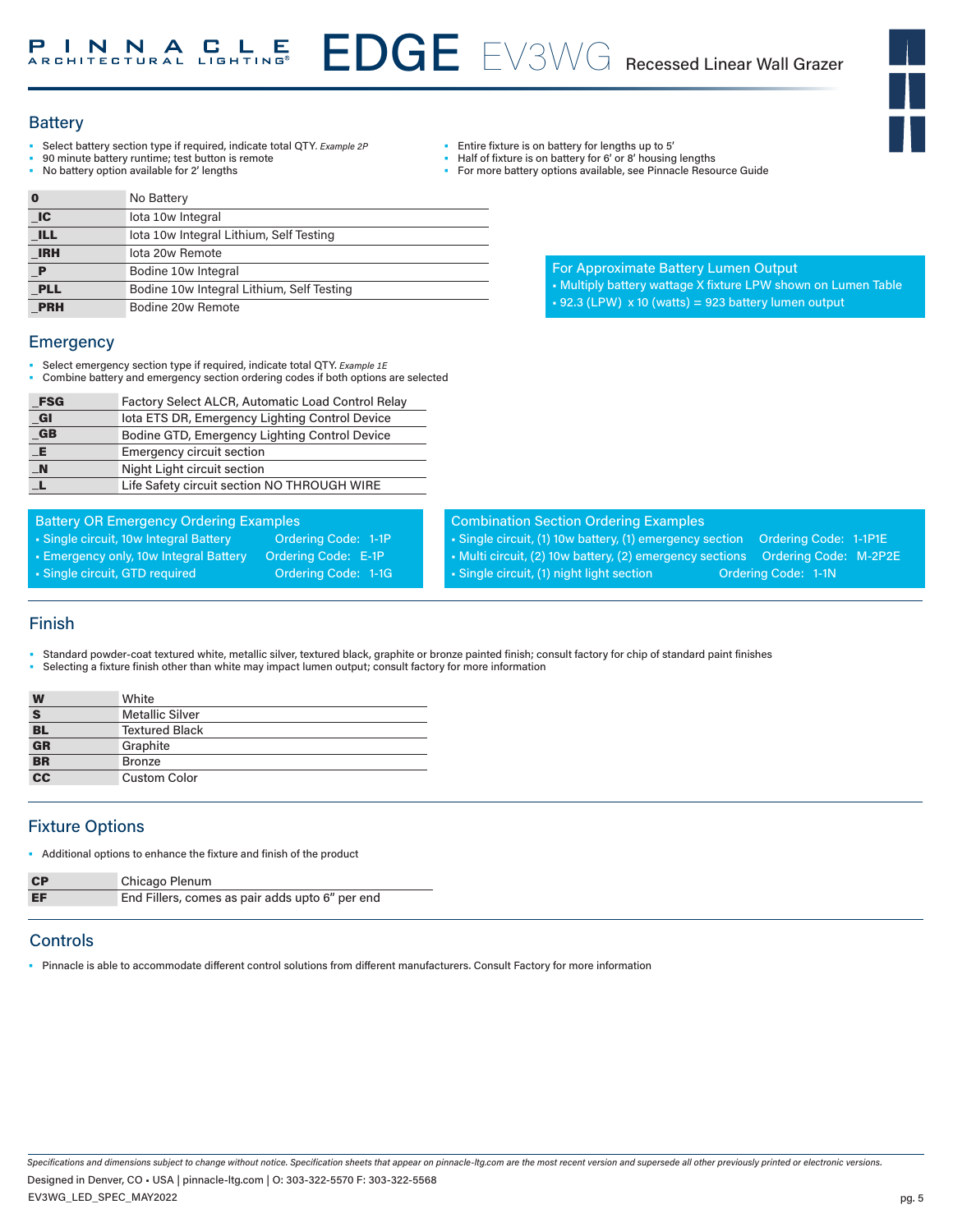# EDGE EV3WG Recessed Linear Wall Grazer **INNACLE**

#### **Battery**

- Select battery section type if required, indicate total QTY*. Example 2P*
- 90 minute battery runtime; test button is remote
- No battery option available for 2' lengths

| $\bf{0}$    | No Battery                                |
|-------------|-------------------------------------------|
| IC          | lota 10w Integral                         |
| <b>ILL</b>  | lota 10w Integral Lithium, Self Testing   |
| <b>IRH</b>  | lota 20w Remote                           |
| $\mathbf P$ | Bodine 10w Integral                       |
| <b>PLL</b>  | Bodine 10w Integral Lithium, Self Testing |
| <b>PRH</b>  | Bodine 20w Remote                         |

#### **Emergency**

- Select emergency section type if required, indicate total QTY. *Example 1E*
- Combine battery and emergency section ordering codes if both options are selected

| <b>FSG</b>       | Factory Select ALCR, Automatic Load Control Relay |
|------------------|---------------------------------------------------|
| _GI              | lota ETS DR, Emergency Lighting Control Device    |
| $G$ B            | Bodine GTD, Emergency Lighting Control Device     |
| _E               | <b>Emergency circuit section</b>                  |
| $\blacksquare$ N | Night Light circuit section                       |
|                  | Life Safety circuit section NO THROUGH WIRE       |

• Single circuit, 10w Integral Battery **Ordering Code: 1-1P** • Emergency only, 10w Integral Battery Ordering Code: E-1P • Single circuit, GTD required **Ordering Code: 1-1G** 

Battery OR Emergency Ordering Examples

# Combination Section Ordering Examples

• Entire fixture is on battery for lengths up to 5' Half of fixture is on battery for 6' or 8' housing lengths • For more battery options available, see Pinnacle Resource Guide

• Single circuit, (1) 10w battery, (1) emergency section Ordering Code: 1-1P1E • Multi circuit, (2) 10w battery, (2) emergency sections Ordering Code: M-2P2E

For Approximate Battery Lumen Output

 $\textbf{+}$  92.3 (LPW)  $\times$  10 (watts) = 923 battery lumen output

• Multiply battery wattage X fixture LPW shown on Lumen Table

• Single circuit, (1) night light section **Ordering Code: 1-1N** 

#### Finish

- Standard powder-coat textured white, metallic silver, textured black, graphite or bronze painted finish; consult factory for chip of standard paint finishes
- Selecting a fixture finish other than white may impact lumen output; consult factory for more information

| W               | White                  |
|-----------------|------------------------|
| S               | <b>Metallic Silver</b> |
| $rac{BL}{GR}$   | <b>Textured Black</b>  |
|                 | Graphite               |
| <b>BR</b>       | <b>Bronze</b>          |
| $\overline{cc}$ | <b>Custom Color</b>    |

## Fixture Options

• Additional options to enhance the fixture and finish of the product

| <b>CP</b> | Chicago Plenum                                  |
|-----------|-------------------------------------------------|
| EF        | End Fillers, comes as pair adds upto 6" per end |

## **Controls**

• Pinnacle is able to accommodate different control solutions from different manufacturers. Consult Factory for more information